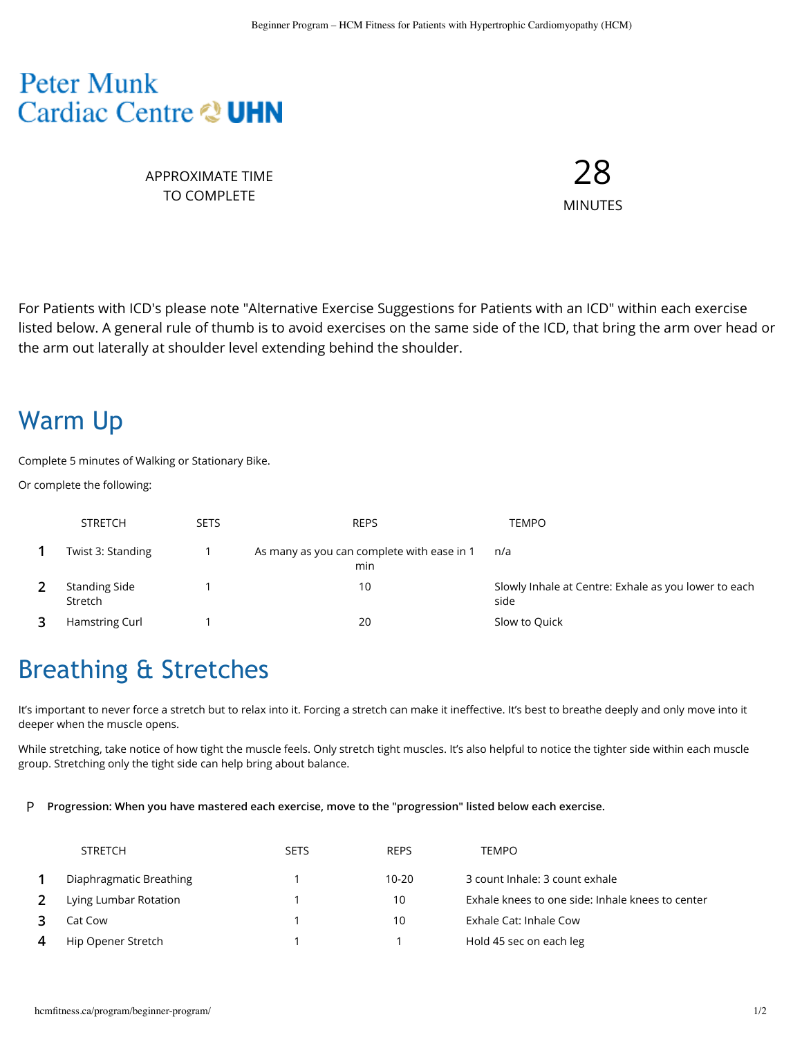## **Peter Munk** Cardiac Centre & UHN

APPROXIMATE TIME TO COMPLETE

28 MINUTES

For Patients with ICD's please note "Alternative Exercise Suggestions for Patients with an ICD" within each exercise listed below. A general rule of thumb is to avoid exercises on the same side of the ICD, that bring the arm over head or the arm out laterally at shoulder level extending behind the shoulder.

## Warm Up

Complete 5 minutes of Walking or Stationary Bike.

Or complete the following:

| <b>STRETCH</b>                  | <b>SETS</b> | <b>REPS</b>                                       | TEMPO                                                        |
|---------------------------------|-------------|---------------------------------------------------|--------------------------------------------------------------|
| Twist 3: Standing               |             | As many as you can complete with ease in 1<br>min | n/a                                                          |
| <b>Standing Side</b><br>Stretch |             | 10                                                | Slowly Inhale at Centre: Exhale as you lower to each<br>side |
| Hamstring Curl                  |             | 20                                                | Slow to Quick                                                |

# Breathing & Stretches

It's important to never force a stretch but to relax into it. Forcing a stretch can make it ineffective. It's best to breathe deeply and only move into it deeper when the muscle opens.

While stretching, take notice of how tight the muscle feels. Only stretch tight muscles. It's also helpful to notice the tighter side within each muscle group. Stretching only the tight side can help bring about balance.

#### P **Progression: When you have mastered each exercise, move to the "progression" listed below each exercise.**

|   | <b>STRETCH</b>          | <b>SETS</b> | <b>REPS</b> | <b>TEMPO</b>                                     |
|---|-------------------------|-------------|-------------|--------------------------------------------------|
|   | Diaphragmatic Breathing |             | $10 - 20$   | 3 count Inhale: 3 count exhale                   |
|   | Lying Lumbar Rotation   |             | 10          | Exhale knees to one side: Inhale knees to center |
|   | Cat Cow                 |             | 10          | Exhale Cat: Inhale Cow                           |
| 4 | Hip Opener Stretch      |             |             | Hold 45 sec on each leg                          |